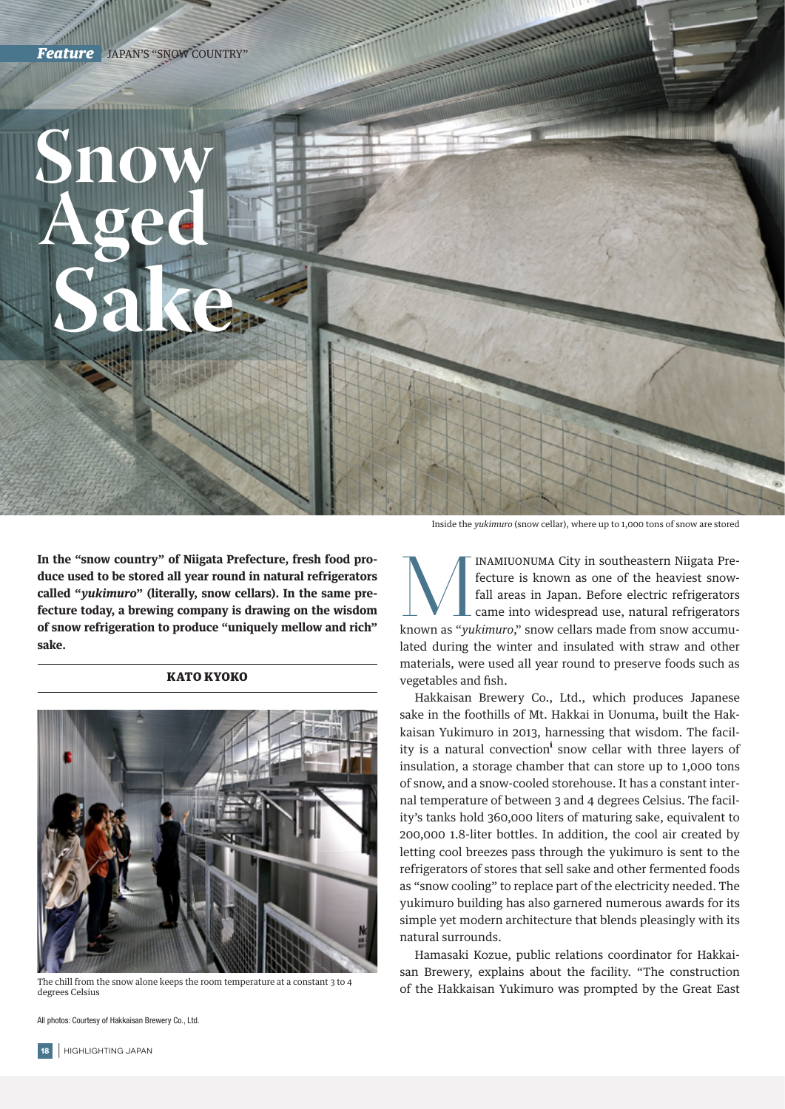

**In the "snow country" of Niigata Prefecture, fresh food produce used to be stored all year round in natural refrigerators called "***yukimuro***" (literally, snow cellars). In the same prefecture today, a brewing company is drawing on the wisdom of snow refrigeration to produce "uniquely mellow and rich" sake.**

## KATO KYOKO



The chill from the snow alone keeps the room temperature at a constant 3 to 4 degrees Celsius

All photos: Courtesy of Hakkaisan Brewery Co., Ltd.

Inside the *yukimuro* (snow cellar), where up to 1,000 tons of snow are stored

Minamiuonuma City in southeastern Niigata Pre-<br>fecture is known as one of the heaviest snow-<br>fall areas in Japan. Before electric refrigerators<br>came into widespread use, natural refrigerators<br>known as "*yukimuro,*" snow ce fecture is known as one of the heaviest snowfall areas in Japan. Before electric refrigerators came into widespread use, natural refrigerators lated during the winter and insulated with straw and other materials, were used all year round to preserve foods such as vegetables and fish.

Hakkaisan Brewery Co., Ltd., which produces Japanese sake in the foothills of Mt. Hakkai in Uonuma, built the Hakkaisan Yukimuro in 2013, harnessing that wisdom. The facility is a natural convection<sup>i</sup> snow cellar with three layers of insulation, a storage chamber that can store up to 1,000 tons of snow, and a snow-cooled storehouse. It has a constant internal temperature of between 3 and 4 degrees Celsius. The facility's tanks hold 360,000 liters of maturing sake, equivalent to 200,000 1.8-liter bottles. In addition, the cool air created by letting cool breezes pass through the yukimuro is sent to the refrigerators of stores that sell sake and other fermented foods as "snow cooling" to replace part of the electricity needed. The yukimuro building has also garnered numerous awards for its simple yet modern architecture that blends pleasingly with its natural surrounds.

Hamasaki Kozue, public relations coordinator for Hakkaisan Brewery, explains about the facility. "The construction of the Hakkaisan Yukimuro was prompted by the Great East